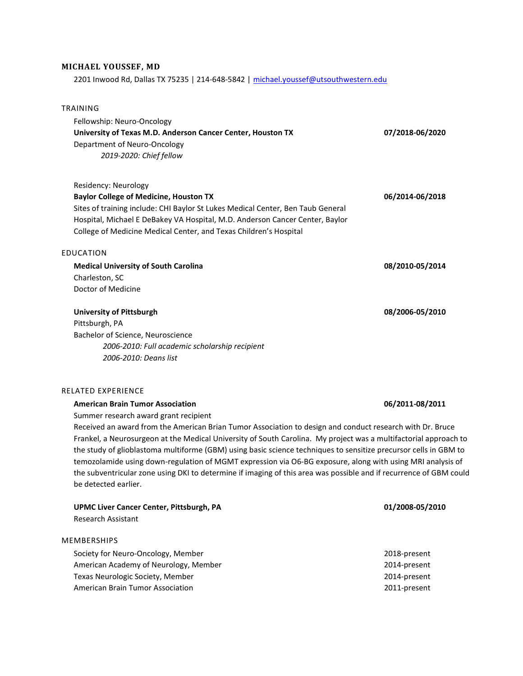# MICHAEL YOUSSEF, MD

2201 Inwood Rd, Dallas TX 75235 | 214-648-5842 | michael.youssef@utsouthwestern.edu

| <b>TRAINING</b>                                                                                                                                                                                                  |                 |
|------------------------------------------------------------------------------------------------------------------------------------------------------------------------------------------------------------------|-----------------|
| Fellowship: Neuro-Oncology<br>University of Texas M.D. Anderson Cancer Center, Houston TX                                                                                                                        | 07/2018-06/2020 |
| Department of Neuro-Oncology<br>2019-2020: Chief fellow                                                                                                                                                          |                 |
| Residency: Neurology                                                                                                                                                                                             |                 |
| <b>Baylor College of Medicine, Houston TX</b><br>Sites of training include: CHI Baylor St Lukes Medical Center, Ben Taub General<br>Hospital, Michael E DeBakey VA Hospital, M.D. Anderson Cancer Center, Baylor | 06/2014-06/2018 |
| College of Medicine Medical Center, and Texas Children's Hospital                                                                                                                                                |                 |
| <b>EDUCATION</b>                                                                                                                                                                                                 |                 |
| <b>Medical University of South Carolina</b>                                                                                                                                                                      | 08/2010-05/2014 |
| Charleston, SC                                                                                                                                                                                                   |                 |
| Doctor of Medicine                                                                                                                                                                                               |                 |
| <b>University of Pittsburgh</b>                                                                                                                                                                                  | 08/2006-05/2010 |
| Pittsburgh, PA                                                                                                                                                                                                   |                 |
| Bachelor of Science, Neuroscience                                                                                                                                                                                |                 |
| 2006-2010: Full academic scholarship recipient                                                                                                                                                                   |                 |
| 2006-2010: Deans list                                                                                                                                                                                            |                 |
| RELATED EXPERIENCE                                                                                                                                                                                               |                 |
| <b>American Brain Tumor Association</b>                                                                                                                                                                          | 06/2011-08/2011 |
| Summer research award grant recipient                                                                                                                                                                            |                 |
| Deschired an aircraf from the American Drien Times: Acceleration to decise and equalizationage with Dr. Dr. i                                                                                                    |                 |

Received an award from the American Brian Tumor Association to design and conduct research with Dr. Bruce Frankel, a Neurosurgeon at the Medical University of South Carolina. My project was a multifactorial approach to the study of glioblastoma multiforme (GBM) using basic science techniques to sensitize precursor cells in GBM to temozolamide using down-regulation of MGMT expression via O6-BG exposure, along with using MRI analysis of the subventricular zone using DKI to determine if imaging of this area was possible and if recurrence of GBM could be detected earlier.

| <b>UPMC Liver Cancer Center, Pittsburgh, PA</b><br>Research Assistant | 01/2008-05/2010 |
|-----------------------------------------------------------------------|-----------------|
|                                                                       |                 |
| Society for Neuro-Oncology, Member                                    | 2018-present    |
| American Academy of Neurology, Member                                 | 2014-present    |
| Texas Neurologic Society, Member                                      | 2014-present    |
| American Brain Tumor Association                                      | 2011-present    |
|                                                                       |                 |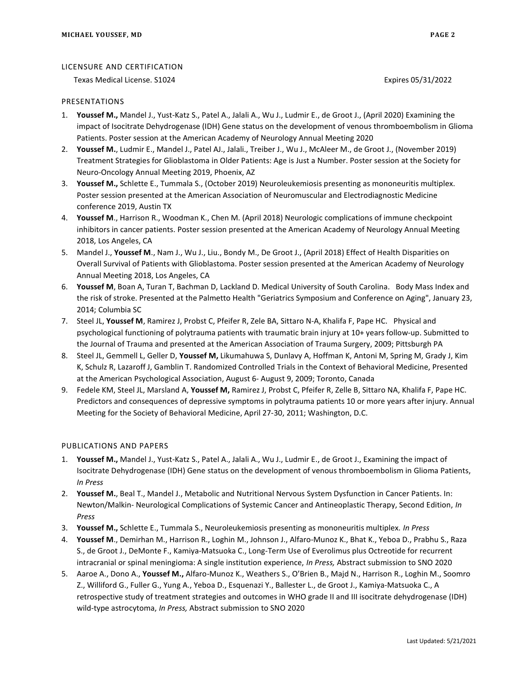### LICENSURE AND CERTIFICATION

Texas Medical License. S1024 **Expires 05/31/2022** Expires 05/31/2022

### PRESENTATIONS

- 1. Youssef M., Mandel J., Yust-Katz S., Patel A., Jalali A., Wu J., Ludmir E., de Groot J., (April 2020) Examining the impact of Isocitrate Dehydrogenase (IDH) Gene status on the development of venous thromboembolism in Glioma Patients. Poster session at the American Academy of Neurology Annual Meeting 2020
- 2. Youssef M., Ludmir E., Mandel J., Patel AJ., Jalali., Treiber J., Wu J., McAleer M., de Groot J., (November 2019) Treatment Strategies for Glioblastoma in Older Patients: Age is Just a Number. Poster session at the Society for Neuro-Oncology Annual Meeting 2019, Phoenix, AZ
- 3. Youssef M., Schlette E., Tummala S., (October 2019) Neuroleukemiosis presenting as mononeuritis multiplex. Poster session presented at the American Association of Neuromuscular and Electrodiagnostic Medicine conference 2019, Austin TX
- 4. Youssef M., Harrison R., Woodman K., Chen M. (April 2018) Neurologic complications of immune checkpoint inhibitors in cancer patients. Poster session presented at the American Academy of Neurology Annual Meeting 2018, Los Angeles, CA
- 5. Mandel J., Youssef M., Nam J., Wu J., Liu., Bondy M., De Groot J., (April 2018) Effect of Health Disparities on Overall Survival of Patients with Glioblastoma. Poster session presented at the American Academy of Neurology Annual Meeting 2018, Los Angeles, CA
- 6. Youssef M, Boan A, Turan T, Bachman D, Lackland D. Medical University of South Carolina. Body Mass Index and the risk of stroke. Presented at the Palmetto Health "Geriatrics Symposium and Conference on Aging", January 23, 2014; Columbia SC
- 7. Steel JL, Youssef M, Ramirez J, Probst C, Pfeifer R, Zele BA, Sittaro N-A, Khalifa F, Pape HC. Physical and psychological functioning of polytrauma patients with traumatic brain injury at 10+ years follow-up. Submitted to the Journal of Trauma and presented at the American Association of Trauma Surgery, 2009; Pittsburgh PA
- 8. Steel JL, Gemmell L, Geller D, Youssef M, Likumahuwa S, Dunlavy A, Hoffman K, Antoni M, Spring M, Grady J, Kim K, Schulz R, Lazaroff J, Gamblin T. Randomized Controlled Trials in the Context of Behavioral Medicine, Presented at the American Psychological Association, August 6- August 9, 2009; Toronto, Canada
- 9. Fedele KM, Steel JL, Marsland A, Youssef M, Ramirez J, Probst C, Pfeifer R, Zelle B, Sittaro NA, Khalifa F, Pape HC. Predictors and consequences of depressive symptoms in polytrauma patients 10 or more years after injury. Annual Meeting for the Society of Behavioral Medicine, April 27-30, 2011; Washington, D.C.

## PUBLICATIONS AND PAPERS

- 1. Youssef M., Mandel J., Yust-Katz S., Patel A., Jalali A., Wu J., Ludmir E., de Groot J., Examining the impact of Isocitrate Dehydrogenase (IDH) Gene status on the development of venous thromboembolism in Glioma Patients, In Press
- 2. Youssef M., Beal T., Mandel J., Metabolic and Nutritional Nervous System Dysfunction in Cancer Patients. In: Newton/Malkin- Neurological Complications of Systemic Cancer and Antineoplastic Therapy, Second Edition, In Press
- 3. Youssef M., Schlette E., Tummala S., Neuroleukemiosis presenting as mononeuritis multiplex. In Press
- 4. Youssef M., Demirhan M., Harrison R., Loghin M., Johnson J., Alfaro-Munoz K., Bhat K., Yeboa D., Prabhu S., Raza S., de Groot J., DeMonte F., Kamiya-Matsuoka C., Long-Term Use of Everolimus plus Octreotide for recurrent intracranial or spinal meningioma: A single institution experience, In Press, Abstract submission to SNO 2020
- 5. Aaroe A., Dono A., Youssef M., Alfaro-Munoz K., Weathers S., O'Brien B., Majd N., Harrison R., Loghin M., Soomro Z., Williford G., Fuller G., Yung A., Yeboa D., Esquenazi Y., Ballester L., de Groot J., Kamiya-Matsuoka C., A retrospective study of treatment strategies and outcomes in WHO grade II and III isocitrate dehydrogenase (IDH) wild-type astrocytoma, In Press, Abstract submission to SNO 2020